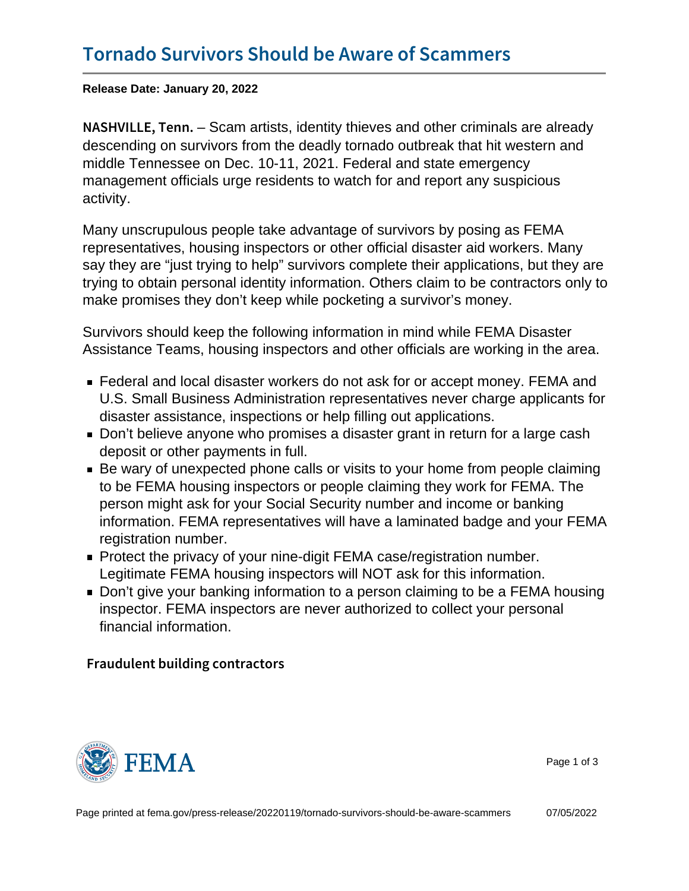Release Date: January 20, 2022

N A S H V I L L  $E_{\tau}$  Starmartists, identity thieves and other criminals are already descending on survivors from the deadly tornado outbreak that hit western and middle Tennessee on Dec. 10-11, 2021. Federal and state emergency management officials urge residents to watch for and report any suspicious activity.

Many unscrupulous people take advantage of survivors by posing as FEMA representatives, housing inspectors or other official disaster aid workers. Many say they are "just trying to help" survivors complete their applications, but they are trying to obtain personal identity information. Others claim to be contractors only to make promises they don't keep while pocketing a survivor's money.

Survivors should keep the following information in mind while FEMA Disaster Assistance Teams, housing inspectors and other officials are working in the area.

- Federal and local disaster workers do not ask for or accept money. FEMA and U.S. Small Business Administration representatives never charge applicants for disaster assistance, inspections or help filling out applications.
- Don't believe anyone who promises a disaster grant in return for a large cash deposit or other payments in full.
- Be wary of unexpected phone calls or visits to your home from people claiming to be FEMA housing inspectors or people claiming they work for FEMA. The person might ask for your Social Security number and income or banking information. FEMA representatives will have a laminated badge and your FEMA registration number.
- **Protect the privacy of your nine-digit FEMA case/registration number.** Legitimate FEMA housing inspectors will NOT ask for this information.
- Don't give your banking information to a person claiming to be a FEMA housing inspector. FEMA inspectors are never authorized to collect your personal financial information.

Fraudulent building contractors



Page 1 of 3

Page printed at [fema.gov/press-release/20220119/tornado-survivors-should-be-aware-scammers](https://www.fema.gov/press-release/20220119/tornado-survivors-should-be-aware-scammers) 07/05/2022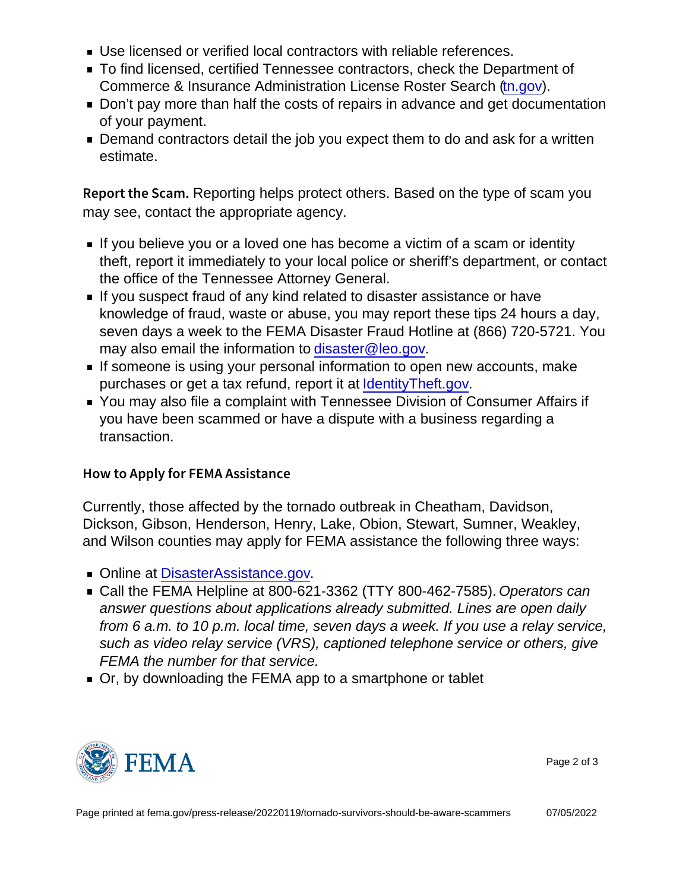- Use licensed or verified local contractors with reliable references.
- To find licensed, certified Tennessee contractors, check the Department of Commerce & Insurance Administration License Roster Search [\(tn.gov\)](http://www.tn.gov).
- Don't pay more than half the costs of repairs in advance and get documentation of your payment.
- Demand contractors detail the job you expect them to do and ask for a written estimate.

Report the Rangemeting helps protect others. Based on the type of scam you may see, contact the appropriate agency.

- If you believe you or a loved one has become a victim of a scam or identity theft, report it immediately to your local police or sheriff's department, or contact the office of the Tennessee Attorney General.
- If you suspect fraud of any kind related to disaster assistance or have knowledge of fraud, waste or abuse, you may report these tips 24 hours a day, seven days a week to the FEMA Disaster Fraud Hotline at (866) 720-5721. You may also email the information to disaster@leo.gov.
- If someone is using your personal information to open new accounts, make purchases or get a tax refund, report it at [IdentityTheft.gov.](mailto:disaster@leo.gov)
- You may also file a complaint with Tennessee Division of Consumer Affairs if you have been scammed or have a dispute with a business regarding a transaction.

## How to Apply for FEMA Assistance

Currently, those affected by the tornado outbreak in Cheatham, Davidson, Dickson, Gibson, Henderson, Henry, Lake, Obion, Stewart, Sumner, Weakley, and Wilson counties may apply for FEMA assistance the following three ways:

- Online at DisasterAssistance.gov.
- Call the FEMA Helpline at 800-621-3362 (TTY 800-462-7585). Operators can answer questions about applications already submitted. Lines are open daily from 6 a.m. to 10 p.m. local time, seven days a week. If you use a relay service, such as video relay service (VRS), captioned telephone service or others, give FEMA the number for that service.
- Or, by downloading the FEMA app to a smartphone or tablet



Page 2 of 3